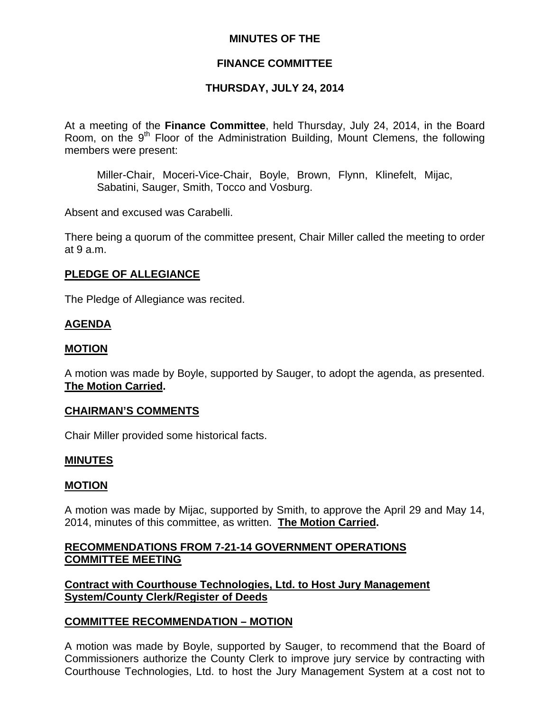## **MINUTES OF THE**

## **FINANCE COMMITTEE**

## **THURSDAY, JULY 24, 2014**

At a meeting of the **Finance Committee**, held Thursday, July 24, 2014, in the Board Room, on the  $9<sup>th</sup>$  Floor of the Administration Building, Mount Clemens, the following members were present:

Miller-Chair, Moceri-Vice-Chair, Boyle, Brown, Flynn, Klinefelt, Mijac, Sabatini, Sauger, Smith, Tocco and Vosburg.

Absent and excused was Carabelli.

There being a quorum of the committee present, Chair Miller called the meeting to order at 9 a.m.

#### **PLEDGE OF ALLEGIANCE**

The Pledge of Allegiance was recited.

## **AGENDA**

#### **MOTION**

A motion was made by Boyle, supported by Sauger, to adopt the agenda, as presented. **The Motion Carried.** 

#### **CHAIRMAN'S COMMENTS**

Chair Miller provided some historical facts.

#### **MINUTES**

#### **MOTION**

A motion was made by Mijac, supported by Smith, to approve the April 29 and May 14, 2014, minutes of this committee, as written. **The Motion Carried.** 

## **RECOMMENDATIONS FROM 7-21-14 GOVERNMENT OPERATIONS COMMITTEE MEETING**

**Contract with Courthouse Technologies, Ltd. to Host Jury Management System/County Clerk/Register of Deeds**

#### **COMMITTEE RECOMMENDATION – MOTION**

A motion was made by Boyle, supported by Sauger, to recommend that the Board of Commissioners authorize the County Clerk to improve jury service by contracting with Courthouse Technologies, Ltd. to host the Jury Management System at a cost not to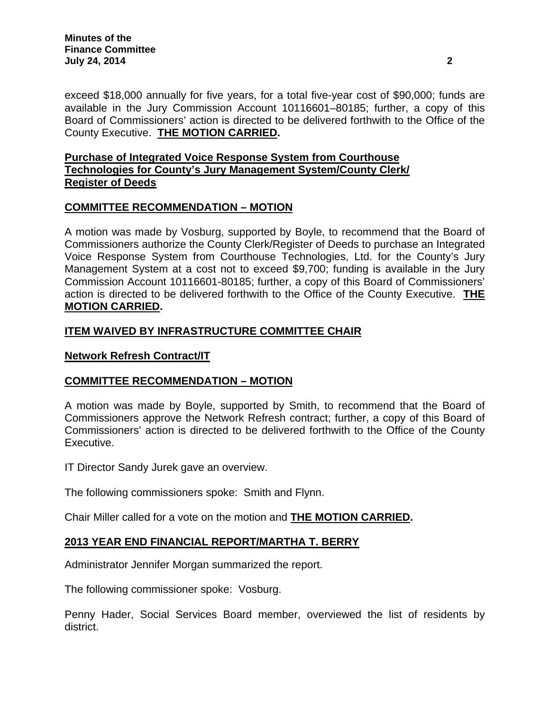exceed \$18,000 annually for five years, for a total five-year cost of \$90,000; funds are available in the Jury Commission Account 10116601–80185; further, a copy of this Board of Commissioners' action is directed to be delivered forthwith to the Office of the County Executive. **THE MOTION CARRIED.** 

## **Purchase of Integrated Voice Response System from Courthouse Technologies for County's Jury Management System/County Clerk/ Register of Deeds**

# **COMMITTEE RECOMMENDATION – MOTION**

A motion was made by Vosburg, supported by Boyle, to recommend that the Board of Commissioners authorize the County Clerk/Register of Deeds to purchase an Integrated Voice Response System from Courthouse Technologies, Ltd. for the County's Jury Management System at a cost not to exceed \$9,700; funding is available in the Jury Commission Account 10116601-80185; further, a copy of this Board of Commissioners' action is directed to be delivered forthwith to the Office of the County Executive. **THE MOTION CARRIED.** 

## **ITEM WAIVED BY INFRASTRUCTURE COMMITTEE CHAIR**

## **Network Refresh Contract/IT**

## **COMMITTEE RECOMMENDATION – MOTION**

A motion was made by Boyle, supported by Smith, to recommend that the Board of Commissioners approve the Network Refresh contract; further, a copy of this Board of Commissioners' action is directed to be delivered forthwith to the Office of the County Executive.

IT Director Sandy Jurek gave an overview.

The following commissioners spoke: Smith and Flynn.

Chair Miller called for a vote on the motion and **THE MOTION CARRIED.**

## **2013 YEAR END FINANCIAL REPORT/MARTHA T. BERRY**

Administrator Jennifer Morgan summarized the report.

The following commissioner spoke: Vosburg.

Penny Hader, Social Services Board member, overviewed the list of residents by district.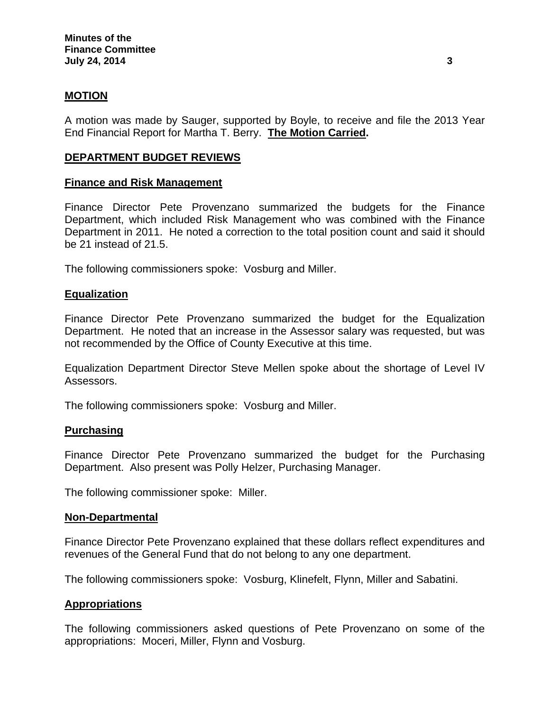## **MOTION**

A motion was made by Sauger, supported by Boyle, to receive and file the 2013 Year End Financial Report for Martha T. Berry. **The Motion Carried.** 

## **DEPARTMENT BUDGET REVIEWS**

#### **Finance and Risk Management**

Finance Director Pete Provenzano summarized the budgets for the Finance Department, which included Risk Management who was combined with the Finance Department in 2011. He noted a correction to the total position count and said it should be 21 instead of 21.5.

The following commissioners spoke: Vosburg and Miller.

#### **Equalization**

Finance Director Pete Provenzano summarized the budget for the Equalization Department. He noted that an increase in the Assessor salary was requested, but was not recommended by the Office of County Executive at this time.

Equalization Department Director Steve Mellen spoke about the shortage of Level IV Assessors.

The following commissioners spoke: Vosburg and Miller.

#### **Purchasing**

Finance Director Pete Provenzano summarized the budget for the Purchasing Department. Also present was Polly Helzer, Purchasing Manager.

The following commissioner spoke: Miller.

#### **Non-Departmental**

Finance Director Pete Provenzano explained that these dollars reflect expenditures and revenues of the General Fund that do not belong to any one department.

The following commissioners spoke: Vosburg, Klinefelt, Flynn, Miller and Sabatini.

#### **Appropriations**

The following commissioners asked questions of Pete Provenzano on some of the appropriations: Moceri, Miller, Flynn and Vosburg.